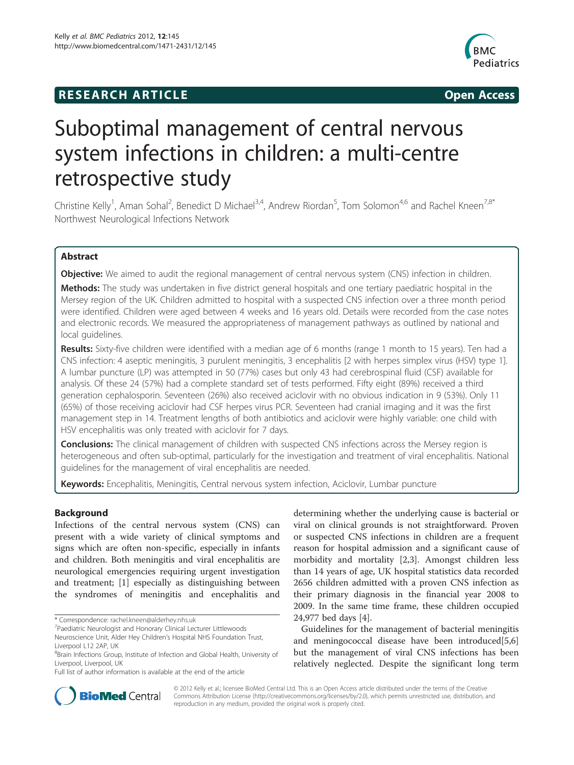# **RESEARCH ARTICLE Example 2014 The SEAR CH ACCESS**



# Suboptimal management of central nervous system infections in children: a multi-centre retrospective study

Christine Kelly<sup>1</sup>, Aman Sohal<sup>2</sup>, Benedict D Michael<sup>3,4</sup>, Andrew Riordan<sup>5</sup>, Tom Solomon<sup>4,6</sup> and Rachel Kneen<sup>7,8\*</sup> Northwest Neurological Infections Network

# Abstract

Objective: We aimed to audit the regional management of central nervous system (CNS) infection in children.

Methods: The study was undertaken in five district general hospitals and one tertiary paediatric hospital in the Mersey region of the UK. Children admitted to hospital with a suspected CNS infection over a three month period were identified. Children were aged between 4 weeks and 16 years old. Details were recorded from the case notes and electronic records. We measured the appropriateness of management pathways as outlined by national and local guidelines.

Results: Sixty-five children were identified with a median age of 6 months (range 1 month to 15 years). Ten had a CNS infection: 4 aseptic meningitis, 3 purulent meningitis, 3 encephalitis [2 with herpes simplex virus (HSV) type 1]. A lumbar puncture (LP) was attempted in 50 (77%) cases but only 43 had cerebrospinal fluid (CSF) available for analysis. Of these 24 (57%) had a complete standard set of tests performed. Fifty eight (89%) received a third generation cephalosporin. Seventeen (26%) also received aciclovir with no obvious indication in 9 (53%). Only 11 (65%) of those receiving aciclovir had CSF herpes virus PCR. Seventeen had cranial imaging and it was the first management step in 14. Treatment lengths of both antibiotics and aciclovir were highly variable: one child with HSV encephalitis was only treated with aciclovir for 7 days.

**Conclusions:** The clinical management of children with suspected CNS infections across the Mersey region is heterogeneous and often sub-optimal, particularly for the investigation and treatment of viral encephalitis. National guidelines for the management of viral encephalitis are needed.

Keywords: Encephalitis, Meningitis, Central nervous system infection, Aciclovir, Lumbar puncture

# Background

Infections of the central nervous system (CNS) can present with a wide variety of clinical symptoms and signs which are often non-specific, especially in infants and children. Both meningitis and viral encephalitis are neurological emergencies requiring urgent investigation and treatment; [\[1](#page-7-0)] especially as distinguishing between the syndromes of meningitis and encephalitis and

determining whether the underlying cause is bacterial or viral on clinical grounds is not straightforward. Proven or suspected CNS infections in children are a frequent reason for hospital admission and a significant cause of morbidity and mortality [[2,3\]](#page-7-0). Amongst children less than 14 years of age, UK hospital statistics data recorded 2656 children admitted with a proven CNS infection as their primary diagnosis in the financial year 2008 to 2009. In the same time frame, these children occupied 24,977 bed days [[4\]](#page-7-0).

Guidelines for the management of bacterial meningitis and meningococcal disease have been introduced[\[5,6](#page-7-0)] but the management of viral CNS infections has been relatively neglected. Despite the significant long term



© 2012 Kelly et al.; licensee BioMed Central Ltd. This is an Open Access article distributed under the terms of the Creative Commons Attribution License [\(http://creativecommons.org/licenses/by/2.0\)](http://creativecommons.org/licenses/by/2.0), which permits unrestricted use, distribution, and reproduction in any medium, provided the original work is properly cited.

<sup>\*</sup> Correspondence: [rachel.kneen@alderhey.nhs.uk](mailto:rachel.kneen@alderhey.nhs.uk) <sup>7</sup>

Paediatric Neurologist and Honorary Clinical Lecturer Littlewoods

Neuroscience Unit, Alder Hey Children's Hospital NHS Foundation Trust, Liverpool L12 2AP, UK

<sup>&</sup>lt;sup>8</sup>Brain Infections Group, Institute of Infection and Global Health, University of Liverpool, Liverpool, UK

Full list of author information is available at the end of the article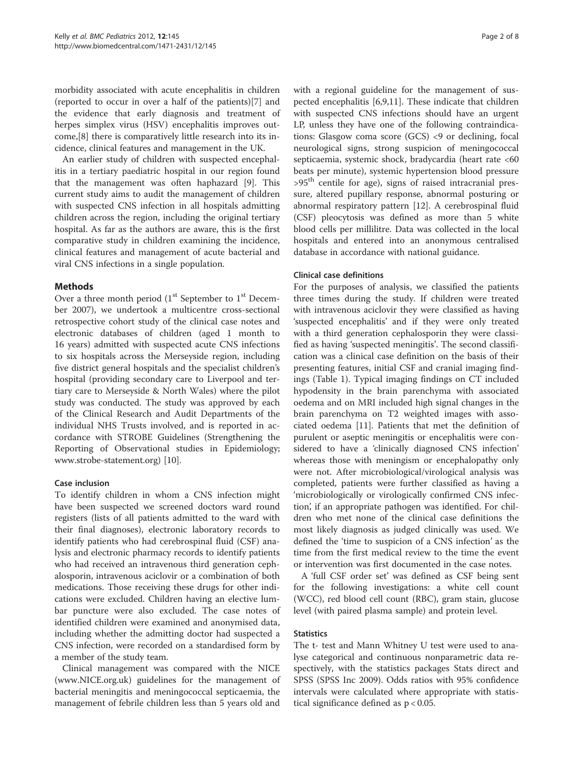morbidity associated with acute encephalitis in children (reported to occur in over a half of the patients)[[7\]](#page-7-0) and the evidence that early diagnosis and treatment of herpes simplex virus (HSV) encephalitis improves outcome,[\[8\]](#page-7-0) there is comparatively little research into its incidence, clinical features and management in the UK.

An earlier study of children with suspected encephalitis in a tertiary paediatric hospital in our region found that the management was often haphazard [\[9](#page-7-0)]. This current study aims to audit the management of children with suspected CNS infection in all hospitals admitting children across the region, including the original tertiary hospital. As far as the authors are aware, this is the first comparative study in children examining the incidence, clinical features and management of acute bacterial and viral CNS infections in a single population.

# Methods

Over a three month period ( $1<sup>st</sup>$  September to  $1<sup>st</sup>$  December 2007), we undertook a multicentre cross-sectional retrospective cohort study of the clinical case notes and electronic databases of children (aged 1 month to 16 years) admitted with suspected acute CNS infections to six hospitals across the Merseyside region, including five district general hospitals and the specialist children's hospital (providing secondary care to Liverpool and tertiary care to Merseyside & North Wales) where the pilot study was conducted. The study was approved by each of the Clinical Research and Audit Departments of the individual NHS Trusts involved, and is reported in accordance with STROBE Guidelines (Strengthening the Reporting of Observational studies in Epidemiology; [www.strobe-statement.org\)](http://www.strobe-statement.org).) [\[10](#page-7-0)].

# Case inclusion

To identify children in whom a CNS infection might have been suspected we screened doctors ward round registers (lists of all patients admitted to the ward with their final diagnoses), electronic laboratory records to identify patients who had cerebrospinal fluid (CSF) analysis and electronic pharmacy records to identify patients who had received an intravenous third generation cephalosporin, intravenous aciclovir or a combination of both medications. Those receiving these drugs for other indications were excluded. Children having an elective lumbar puncture were also excluded. The case notes of identified children were examined and anonymised data, including whether the admitting doctor had suspected a CNS infection, were recorded on a standardised form by a member of the study team.

Clinical management was compared with the NICE ([www.NICE.org.uk\)](http://www.NICE.org.uk) guidelines for the management of bacterial meningitis and meningococcal septicaemia, the management of febrile children less than 5 years old and

with a regional guideline for the management of suspected encephalitis [[6,9,11\]](#page-7-0). These indicate that children with suspected CNS infections should have an urgent LP, unless they have one of the following contraindications: Glasgow coma score (GCS) <9 or declining, focal neurological signs, strong suspicion of meningococcal septicaemia, systemic shock, bradycardia (heart rate <60 beats per minute), systemic hypertension blood pressure >95<sup>th</sup> centile for age), signs of raised intracranial pressure, altered pupillary response, abnormal posturing or abnormal respiratory pattern [[12\]](#page-7-0). A cerebrospinal fluid (CSF) pleocytosis was defined as more than 5 white blood cells per millilitre. Data was collected in the local hospitals and entered into an anonymous centralised database in accordance with national guidance.

### Clinical case definitions

For the purposes of analysis, we classified the patients three times during the study. If children were treated with intravenous aciclovir they were classified as having 'suspected encephalitis' and if they were only treated with a third generation cephalosporin they were classified as having 'suspected meningitis'. The second classification was a clinical case definition on the basis of their presenting features, initial CSF and cranial imaging findings (Table [1](#page-2-0)). Typical imaging findings on CT included hypodensity in the brain parenchyma with associated oedema and on MRI included high signal changes in the brain parenchyma on T2 weighted images with associated oedema [[11](#page-7-0)]. Patients that met the definition of purulent or aseptic meningitis or encephalitis were considered to have a 'clinically diagnosed CNS infection' whereas those with meningism or encephalopathy only were not. After microbiological/virological analysis was completed, patients were further classified as having a 'microbiologically or virologically confirmed CNS infection', if an appropriate pathogen was identified. For children who met none of the clinical case definitions the most likely diagnosis as judged clinically was used. We defined the 'time to suspicion of a CNS infection' as the time from the first medical review to the time the event or intervention was first documented in the case notes.

A 'full CSF order set' was defined as CSF being sent for the following investigations: a white cell count (WCC), red blood cell count (RBC), gram stain, glucose level (with paired plasma sample) and protein level.

### **Statistics**

The t- test and Mann Whitney U test were used to analyse categorical and continuous nonparametric data respectively, with the statistics packages Stats direct and SPSS (SPSS Inc 2009). Odds ratios with 95% confidence intervals were calculated where appropriate with statistical significance defined as p < 0.05.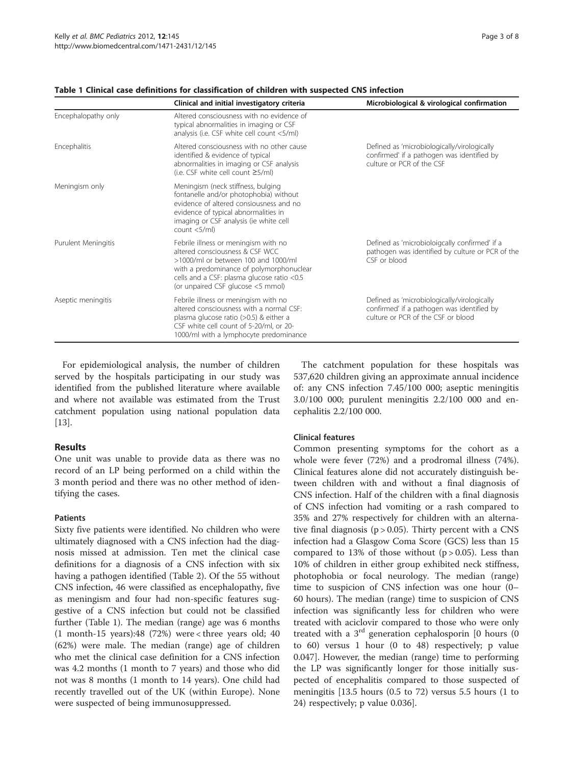|                     | Clinical and initial investigatory criteria                                                                                                                                                                                                       | Microbiological & virological confirmation                                                                                      |
|---------------------|---------------------------------------------------------------------------------------------------------------------------------------------------------------------------------------------------------------------------------------------------|---------------------------------------------------------------------------------------------------------------------------------|
| Encephalopathy only | Altered consciousness with no evidence of<br>typical abnormalities in imaging or CSF<br>analysis (i.e. CSF white cell count <5/ml)                                                                                                                |                                                                                                                                 |
| Encephalitis        | Altered consciousness with no other cause<br>identified & evidence of typical<br>abnormalities in imaging or CSF analysis<br>(i.e. CSF white cell count ≥5/ml)                                                                                    | Defined as 'microbiologically/virologically<br>confirmed' if a pathogen was identified by<br>culture or PCR of the CSF          |
| Meningism only      | Meningism (neck stiffness, bulging<br>fontanelle and/or photophobia) without<br>evidence of altered consiousness and no<br>evidence of typical abnormalities in<br>imaging or CSF analysis (ie white cell<br>count $<5$ /ml)                      |                                                                                                                                 |
| Purulent Meningitis | Febrile illness or meningism with no<br>altered consciousness & CSF WCC.<br>$>1000$ /ml or between 100 and 1000/ml<br>with a predominance of polymorphonuclear<br>cells and a CSF: plasma glucose ratio <0.5<br>(or unpaired CSF glucose <5 mmol) | Defined as 'microbioloigcally confirmed' if a<br>pathogen was identified by culture or PCR of the<br>CSE or blood               |
| Aseptic meningitis  | Febrile illness or meningism with no<br>altered consciousness with a normal CSF:<br>plasma glucose ratio (>0.5) & either a<br>CSF white cell count of 5-20/ml, or 20-<br>1000/ml with a lymphocyte predominance                                   | Defined as 'microbiologically/virologically<br>confirmed' if a pathogen was identified by<br>culture or PCR of the CSE or blood |

# <span id="page-2-0"></span>Table 1 Clinical case definitions for classification of children with suspected CNS infection

For epidemiological analysis, the number of children served by the hospitals participating in our study was identified from the published literature where available and where not available was estimated from the Trust catchment population using national population data [[13\]](#page-7-0).

# Results

One unit was unable to provide data as there was no record of an LP being performed on a child within the 3 month period and there was no other method of identifying the cases.

# Patients

Sixty five patients were identified. No children who were ultimately diagnosed with a CNS infection had the diagnosis missed at admission. Ten met the clinical case definitions for a diagnosis of a CNS infection with six having a pathogen identified (Table [2\)](#page-3-0). Of the 55 without CNS infection, 46 were classified as encephalopathy, five as meningism and four had non-specific features suggestive of a CNS infection but could not be classified further (Table 1). The median (range) age was 6 months (1 month-15 years):48 (72%) were < three years old; 40 (62%) were male. The median (range) age of children who met the clinical case definition for a CNS infection was 4.2 months (1 month to 7 years) and those who did not was 8 months (1 month to 14 years). One child had recently travelled out of the UK (within Europe). None were suspected of being immunosuppressed.

The catchment population for these hospitals was 537,620 children giving an approximate annual incidence of: any CNS infection 7.45/100 000; aseptic meningitis 3.0/100 000; purulent meningitis 2.2/100 000 and encephalitis 2.2/100 000.

# Clinical features

Common presenting symptoms for the cohort as a whole were fever (72%) and a prodromal illness (74%). Clinical features alone did not accurately distinguish between children with and without a final diagnosis of CNS infection. Half of the children with a final diagnosis of CNS infection had vomiting or a rash compared to 35% and 27% respectively for children with an alternative final diagnosis ( $p > 0.05$ ). Thirty percent with a CNS infection had a Glasgow Coma Score (GCS) less than 15 compared to 13% of those without  $(p > 0.05)$ . Less than 10% of children in either group exhibited neck stiffness, photophobia or focal neurology. The median (range) time to suspicion of CNS infection was one hour (0– 60 hours). The median (range) time to suspicion of CNS infection was significantly less for children who were treated with aciclovir compared to those who were only treated with a  $3<sup>rd</sup>$  generation cephalosporin [0 hours (0 to 60) versus 1 hour (0 to 48) respectively; p value 0.047]. However, the median (range) time to performing the LP was significantly longer for those initially suspected of encephalitis compared to those suspected of meningitis [13.5 hours (0.5 to 72) versus 5.5 hours (1 to 24) respectively; p value 0.036].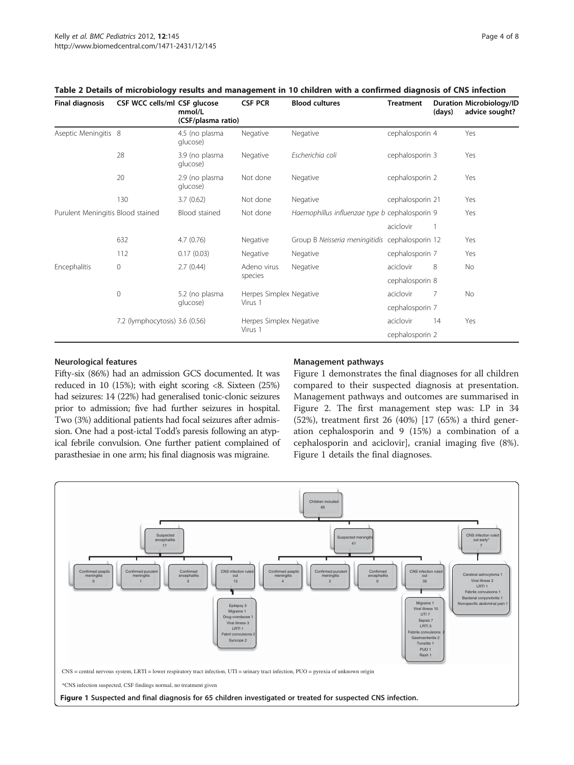| <b>Final diagnosis</b>            | CSF WCC cells/ml CSF glucose   | mmol/L<br>(CSF/plasma ratio) | <b>CSF PCR</b>                     | <b>Blood cultures</b>                           | Treatment        | (days) | <b>Duration Microbiology/ID</b><br>advice sought? |
|-----------------------------------|--------------------------------|------------------------------|------------------------------------|-------------------------------------------------|------------------|--------|---------------------------------------------------|
| Aseptic Meningitis 8              |                                | 4.5 (no plasma<br>glucose)   | Negative                           | Negative                                        | cephalosporin 4  |        | Yes                                               |
|                                   | 28                             | 3.9 (no plasma<br>glucose)   | Negative                           | Escherichia coli                                | cephalosporin 3  |        | Yes                                               |
|                                   | 20                             | 2.9 (no plasma<br>glucose)   | Not done                           | Negative                                        | cephalosporin 2  |        | Yes                                               |
|                                   | 130                            | 3.7(0.62)                    | Not done                           | Negative                                        | cephalosporin 21 |        | Yes                                               |
| Purulent Meningitis Blood stained |                                | Blood stained                | Not done                           | Haemophillus influenzae type b cephalosporin 9  |                  |        | Yes                                               |
|                                   |                                |                              |                                    |                                                 | aciclovir        |        |                                                   |
|                                   | 632                            | 4.7(0.76)                    | Negative                           | Group B Neisseria meningitidis cephalosporin 12 |                  |        | Yes                                               |
|                                   | 112                            | 0.17(0.03)                   | Negative                           | Negative                                        | cephalosporin 7  |        | Yes                                               |
| Encephalitis                      | 0                              | 2.7(0.44)                    | Adeno virus<br>species             | Negative                                        | aciclovir        | 8      | No                                                |
|                                   |                                |                              |                                    |                                                 | cephalosporin 8  |        |                                                   |
|                                   | 0                              | 5.2 (no plasma<br>glucose)   | Herpes Simplex Negative            |                                                 | aciclovir        | 7      | No                                                |
|                                   |                                |                              | Virus 1                            |                                                 | cephalosporin 7  |        |                                                   |
|                                   | 7.2 (lymphocytosis) 3.6 (0.56) |                              | Herpes Simplex Negative<br>Virus 1 |                                                 | aciclovir        | 14     | Yes                                               |
|                                   |                                |                              |                                    |                                                 | cephalosporin 2  |        |                                                   |

# <span id="page-3-0"></span>Table 2 Details of microbiology results and management in 10 children with a confirmed diagnosis of CNS infection

# Neurological features

Fifty-six (86%) had an admission GCS documented. It was reduced in 10 (15%); with eight scoring <8. Sixteen (25%) had seizures: 14 (22%) had generalised tonic-clonic seizures prior to admission; five had further seizures in hospital. Two (3%) additional patients had focal seizures after admission. One had a post-ictal Todd's paresis following an atypical febrile convulsion. One further patient complained of parasthesiae in one arm; his final diagnosis was migraine.

# Management pathways

Figure 1 demonstrates the final diagnoses for all children compared to their suspected diagnosis at presentation. Management pathways and outcomes are summarised in Figure [2](#page-4-0). The first management step was: LP in 34 (52%), treatment first 26 (40%) [17 (65%) a third generation cephalosporin and 9 (15%) a combination of a cephalosporin and aciclovir], cranial imaging five (8%). Figure 1 details the final diagnoses.

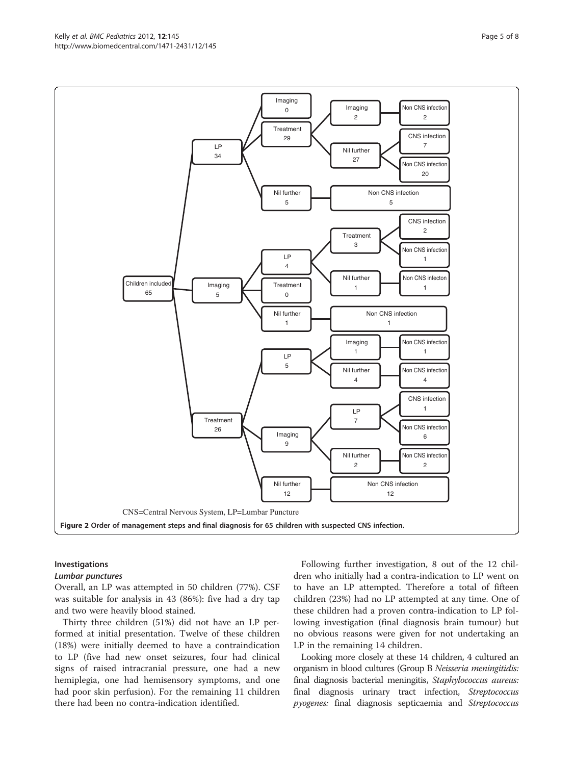Investigations Overall, an LP was attempted in 50 children (77%). CSF was suitable for analysis in 43 (86%): five had a dry tap

and two were heavily blood stained. Thirty three children (51%) did not have an LP performed at initial presentation. Twelve of these children (18%) were initially deemed to have a contraindication to LP (five had new onset seizures, four had clinical signs of raised intracranial pressure, one had a new hemiplegia, one had hemisensory symptoms, and one had poor skin perfusion). For the remaining 11 children there had been no contra-indication identified.

Following further investigation, 8 out of the 12 children who initially had a contra-indication to LP went on to have an LP attempted. Therefore a total of fifteen children (23%) had no LP attempted at any time. One of these children had a proven contra-indication to LP following investigation (final diagnosis brain tumour) but no obvious reasons were given for not undertaking an LP in the remaining 14 children.

Looking more closely at these 14 children, 4 cultured an organism in blood cultures (Group B Neisseria meningitidis: final diagnosis bacterial meningitis, Staphylococcus aureus: final diagnosis urinary tract infection, Streptococcus pyogenes: final diagnosis septicaemia and Streptococcus

<span id="page-4-0"></span>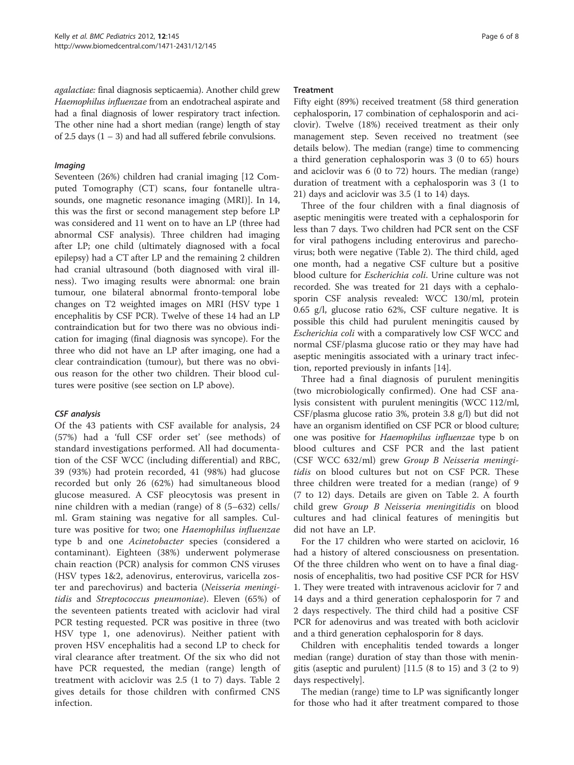agalactiae: final diagnosis septicaemia). Another child grew Haemophilus influenzae from an endotracheal aspirate and had a final diagnosis of lower respiratory tract infection. The other nine had a short median (range) length of stay of 2.5 days  $(1 – 3)$  and had all suffered febrile convulsions.

Imaging Seventeen (26%) children had cranial imaging [12 Computed Tomography (CT) scans, four fontanelle ultrasounds, one magnetic resonance imaging (MRI)]. In 14, this was the first or second management step before LP was considered and 11 went on to have an LP (three had abnormal CSF analysis). Three children had imaging after LP; one child (ultimately diagnosed with a focal epilepsy) had a CT after LP and the remaining 2 children had cranial ultrasound (both diagnosed with viral illness). Two imaging results were abnormal: one brain tumour, one bilateral abnormal fronto-temporal lobe changes on T2 weighted images on MRI (HSV type 1 encephalitis by CSF PCR). Twelve of these 14 had an LP contraindication but for two there was no obvious indication for imaging (final diagnosis was syncope). For the three who did not have an LP after imaging, one had a clear contraindication (tumour), but there was no obvious reason for the other two children. Their blood cultures were positive (see section on LP above).

Of the 43 patients with CSF available for analysis, 24 (57%) had a 'full CSF order set' (see methods) of standard investigations performed. All had documentation of the CSF WCC (including differential) and RBC, 39 (93%) had protein recorded, 41 (98%) had glucose recorded but only 26 (62%) had simultaneous blood glucose measured. A CSF pleocytosis was present in nine children with a median (range) of 8 (5–632) cells/ ml. Gram staining was negative for all samples. Culture was positive for two; one Haemophilus influenzae type b and one Acinetobacter species (considered a contaminant). Eighteen (38%) underwent polymerase chain reaction (PCR) analysis for common CNS viruses (HSV types 1&2, adenovirus, enterovirus, varicella zoster and parechovirus) and bacteria (Neisseria meningitidis and Streptococcus pneumoniae). Eleven (65%) of the seventeen patients treated with aciclovir had viral PCR testing requested. PCR was positive in three (two HSV type 1, one adenovirus). Neither patient with proven HSV encephalitis had a second LP to check for viral clearance after treatment. Of the six who did not have PCR requested, the median (range) length of treatment with aciclovir was 2.5 (1 to 7) days. Table [2](#page-3-0) gives details for those children with confirmed CNS infection.

### **Treatment**

Fifty eight (89%) received treatment (58 third generation cephalosporin, 17 combination of cephalosporin and aciclovir). Twelve (18%) received treatment as their only management step. Seven received no treatment (see details below). The median (range) time to commencing a third generation cephalosporin was 3 (0 to 65) hours and aciclovir was 6 (0 to 72) hours. The median (range) duration of treatment with a cephalosporin was 3 (1 to 21) days and aciclovir was 3.5 (1 to 14) days.

Three of the four children with a final diagnosis of aseptic meningitis were treated with a cephalosporin for less than 7 days. Two children had PCR sent on the CSF for viral pathogens including enterovirus and parechovirus; both were negative (Table [2\)](#page-3-0). The third child, aged one month, had a negative CSF culture but a positive blood culture for Escherichia coli. Urine culture was not recorded. She was treated for 21 days with a cephalosporin CSF analysis revealed: WCC 130/ml, protein 0.65 g/l, glucose ratio 62%, CSF culture negative. It is possible this child had purulent meningitis caused by Escherichia coli with a comparatively low CSF WCC and normal CSF/plasma glucose ratio or they may have had aseptic meningitis associated with a urinary tract infection, reported previously in infants [\[14](#page-7-0)].

Three had a final diagnosis of purulent meningitis (two microbiologically confirmed). One had CSF analysis consistent with purulent meningitis (WCC 112/ml, CSF/plasma glucose ratio 3%, protein 3.8 g/l) but did not have an organism identified on CSF PCR or blood culture; one was positive for Haemophilus influenzae type b on blood cultures and CSF PCR and the last patient (CSF WCC 632/ml) grew Group B Neisseria meningitidis on blood cultures but not on CSF PCR. These three children were treated for a median (range) of 9 (7 to 12) days. Details are given on Table [2.](#page-3-0) A fourth child grew Group B Neisseria meningitidis on blood cultures and had clinical features of meningitis but did not have an LP.

For the 17 children who were started on aciclovir, 16 had a history of altered consciousness on presentation. Of the three children who went on to have a final diagnosis of encephalitis, two had positive CSF PCR for HSV 1. They were treated with intravenous aciclovir for 7 and 14 days and a third generation cephalosporin for 7 and 2 days respectively. The third child had a positive CSF PCR for adenovirus and was treated with both aciclovir and a third generation cephalosporin for 8 days.

Children with encephalitis tended towards a longer median (range) duration of stay than those with meningitis (aseptic and purulent) [11.5 (8 to 15) and 3 (2 to 9) days respectively].

The median (range) time to LP was significantly longer for those who had it after treatment compared to those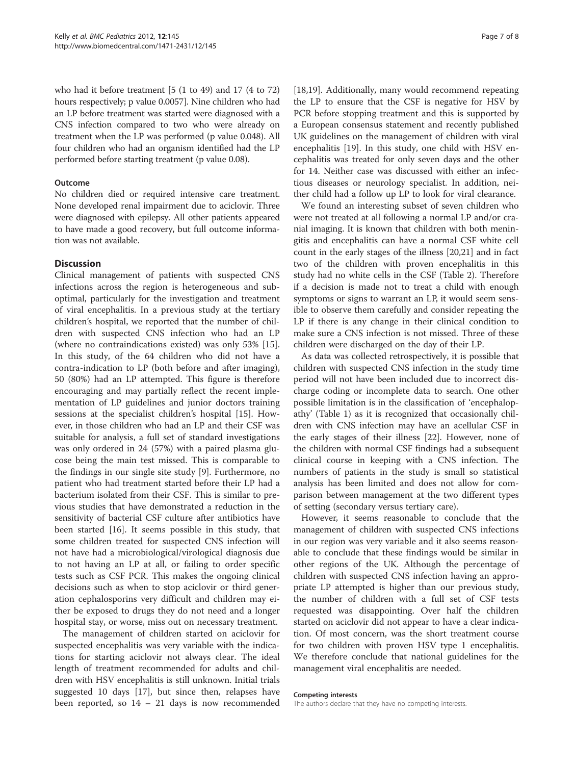who had it before treatment [5 (1 to 49) and 17 (4 to 72) hours respectively; p value 0.0057]. Nine children who had an LP before treatment was started were diagnosed with a CNS infection compared to two who were already on treatment when the LP was performed (p value 0.048). All four children who had an organism identified had the LP performed before starting treatment (p value 0.08).

### **Outcome**

No children died or required intensive care treatment. None developed renal impairment due to aciclovir. Three were diagnosed with epilepsy. All other patients appeared to have made a good recovery, but full outcome information was not available.

### Discussion

Clinical management of patients with suspected CNS infections across the region is heterogeneous and suboptimal, particularly for the investigation and treatment of viral encephalitis. In a previous study at the tertiary children's hospital, we reported that the number of children with suspected CNS infection who had an LP (where no contraindications existed) was only 53% [\[15](#page-7-0)]. In this study, of the 64 children who did not have a contra-indication to LP (both before and after imaging), 50 (80%) had an LP attempted. This figure is therefore encouraging and may partially reflect the recent implementation of LP guidelines and junior doctors training sessions at the specialist children's hospital [[15\]](#page-7-0). However, in those children who had an LP and their CSF was suitable for analysis, a full set of standard investigations was only ordered in 24 (57%) with a paired plasma glucose being the main test missed. This is comparable to the findings in our single site study [\[9](#page-7-0)]. Furthermore, no patient who had treatment started before their LP had a bacterium isolated from their CSF. This is similar to previous studies that have demonstrated a reduction in the sensitivity of bacterial CSF culture after antibiotics have been started [\[16](#page-7-0)]. It seems possible in this study, that some children treated for suspected CNS infection will not have had a microbiological/virological diagnosis due to not having an LP at all, or failing to order specific tests such as CSF PCR. This makes the ongoing clinical decisions such as when to stop aciclovir or third generation cephalosporins very difficult and children may either be exposed to drugs they do not need and a longer hospital stay, or worse, miss out on necessary treatment.

The management of children started on aciclovir for suspected encephalitis was very variable with the indications for starting aciclovir not always clear. The ideal length of treatment recommended for adults and children with HSV encephalitis is still unknown. Initial trials suggested 10 days [\[17\]](#page-7-0), but since then, relapses have been reported, so 14 – 21 days is now recommended [[18,19\]](#page-7-0). Additionally, many would recommend repeating the LP to ensure that the CSF is negative for HSV by PCR before stopping treatment and this is supported by a European consensus statement and recently published UK guidelines on the management of children with viral encephalitis [[19\]](#page-7-0). In this study, one child with HSV encephalitis was treated for only seven days and the other for 14. Neither case was discussed with either an infectious diseases or neurology specialist. In addition, neither child had a follow up LP to look for viral clearance.

We found an interesting subset of seven children who were not treated at all following a normal LP and/or cranial imaging. It is known that children with both meningitis and encephalitis can have a normal CSF white cell count in the early stages of the illness [[20,21](#page-7-0)] and in fact two of the children with proven encephalitis in this study had no white cells in the CSF (Table [2\)](#page-3-0). Therefore if a decision is made not to treat a child with enough symptoms or signs to warrant an LP, it would seem sensible to observe them carefully and consider repeating the LP if there is any change in their clinical condition to make sure a CNS infection is not missed. Three of these children were discharged on the day of their LP.

As data was collected retrospectively, it is possible that children with suspected CNS infection in the study time period will not have been included due to incorrect discharge coding or incomplete data to search. One other possible limitation is in the classification of 'encephalopathy' (Table [1\)](#page-2-0) as it is recognized that occasionally children with CNS infection may have an acellular CSF in the early stages of their illness [[22](#page-7-0)]. However, none of the children with normal CSF findings had a subsequent clinical course in keeping with a CNS infection. The numbers of patients in the study is small so statistical analysis has been limited and does not allow for comparison between management at the two different types of setting (secondary versus tertiary care).

However, it seems reasonable to conclude that the management of children with suspected CNS infections in our region was very variable and it also seems reasonable to conclude that these findings would be similar in other regions of the UK. Although the percentage of children with suspected CNS infection having an appropriate LP attempted is higher than our previous study, the number of children with a full set of CSF tests requested was disappointing. Over half the children started on aciclovir did not appear to have a clear indication. Of most concern, was the short treatment course for two children with proven HSV type 1 encephalitis. We therefore conclude that national guidelines for the management viral encephalitis are needed.

### Competing interests

The authors declare that they have no competing interests.